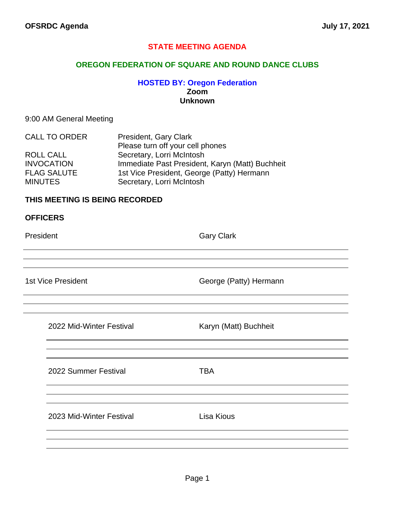#### **STATE MEETING AGENDA**

#### **OREGON FEDERATION OF SQUARE AND ROUND DANCE CLUBS**

#### **HOSTED BY: Oregon Federation Zoom Unknown**

#### 9:00 AM General Meeting

| <b>CALL TO ORDER</b> | President, Gary Clark                           |
|----------------------|-------------------------------------------------|
|                      | Please turn off your cell phones                |
| ROLL CALL            | Secretary, Lorri McIntosh                       |
| <b>INVOCATION</b>    | Immediate Past President, Karyn (Matt) Buchheit |
| <b>FLAG SALUTE</b>   | 1st Vice President, George (Patty) Hermann      |
| <b>MINUTES</b>       | Secretary, Lorri McIntosh                       |

#### **THIS MEETING IS BEING RECORDED**

| <b>OFFICERS</b>           |                        |
|---------------------------|------------------------|
| President                 | <b>Gary Clark</b>      |
|                           |                        |
|                           |                        |
| <b>1st Vice President</b> | George (Patty) Hermann |
|                           |                        |
|                           |                        |
| 2022 Mid-Winter Festival  | Karyn (Matt) Buchheit  |
|                           |                        |
|                           |                        |
| 2022 Summer Festival      | <b>TBA</b>             |
|                           |                        |

2023 Mid-Winter Festival **Lisa Kious**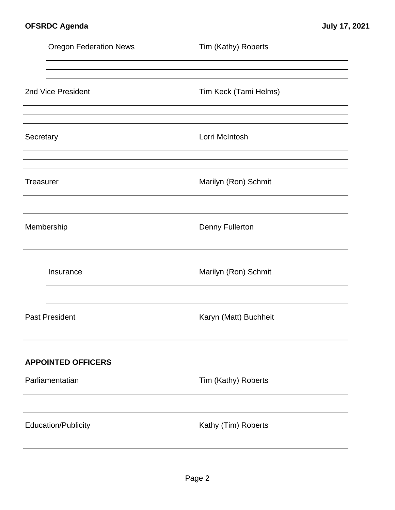|                  | <b>Oregon Federation News</b> | Tim (Kathy) Roberts    |
|------------------|-------------------------------|------------------------|
|                  |                               |                        |
|                  | 2nd Vice President            | Tim Keck (Tami Helms)  |
| Secretary        |                               | Lorri McIntosh         |
| <b>Treasurer</b> |                               | Marilyn (Ron) Schmit   |
|                  | Membership                    | <b>Denny Fullerton</b> |
|                  | Insurance                     | Marilyn (Ron) Schmit   |
|                  | <b>Past President</b>         | Karyn (Matt) Buchheit  |
|                  | <b>APPOINTED OFFICERS</b>     |                        |
|                  | Parliamentatian               | Tim (Kathy) Roberts    |
|                  |                               |                        |
|                  | <b>Education/Publicity</b>    | Kathy (Tim) Roberts    |
|                  |                               |                        |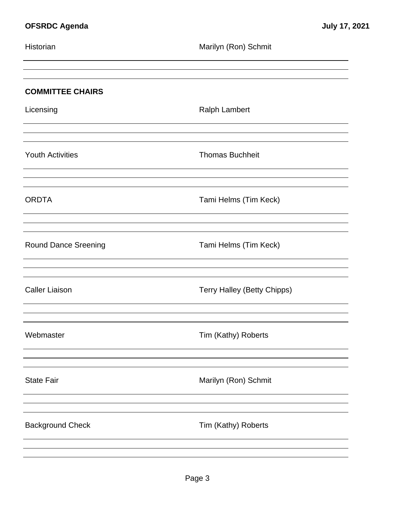| Historian               | Marilyn (Ron) Schmit               |
|-------------------------|------------------------------------|
| <b>COMMITTEE CHAIRS</b> |                                    |
| Licensing               | <b>Ralph Lambert</b>               |
| <b>Youth Activities</b> | <b>Thomas Buchheit</b>             |
| <b>ORDTA</b>            | Tami Helms (Tim Keck)              |
| Round Dance Sreening    | Tami Helms (Tim Keck)              |
| <b>Caller Liaison</b>   | <b>Terry Halley (Betty Chipps)</b> |
| Webmaster               | Tim (Kathy) Roberts                |
| <b>State Fair</b>       | Marilyn (Ron) Schmit               |
| <b>Background Check</b> | Tim (Kathy) Roberts                |
|                         |                                    |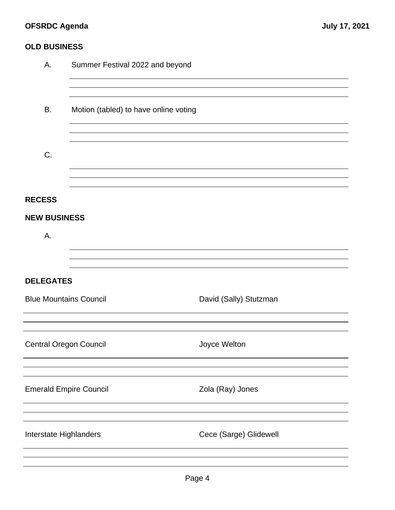# **OFSRDC Agenda July 17, 2021**

### **OLD BUSINESS**

| Α.                            | Summer Festival 2022 and beyond       |                        |  |  |
|-------------------------------|---------------------------------------|------------------------|--|--|
|                               |                                       |                        |  |  |
| В.                            | Motion (tabled) to have online voting |                        |  |  |
|                               |                                       |                        |  |  |
| C.                            |                                       |                        |  |  |
|                               |                                       |                        |  |  |
| <b>RECESS</b>                 |                                       |                        |  |  |
| <b>NEW BUSINESS</b>           |                                       |                        |  |  |
| Α.                            |                                       |                        |  |  |
|                               |                                       |                        |  |  |
| <b>DELEGATES</b>              |                                       |                        |  |  |
| <b>Blue Mountains Council</b> |                                       | David (Sally) Stutzman |  |  |
|                               |                                       |                        |  |  |
| <b>Central Oregon Council</b> |                                       | Joyce Welton           |  |  |
|                               |                                       |                        |  |  |
| <b>Emerald Empire Council</b> |                                       | Zola (Ray) Jones       |  |  |
|                               |                                       |                        |  |  |
| Interstate Highlanders        |                                       | Cece (Sarge) Glidewell |  |  |
|                               |                                       |                        |  |  |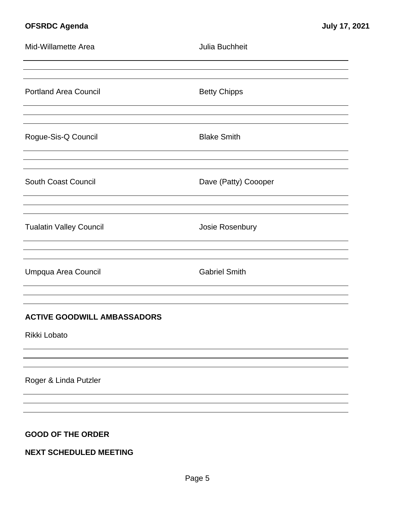# **OFSRDC Agenda July 17, 2021**

| Mid-Willamette Area                | Julia Buchheit       |
|------------------------------------|----------------------|
|                                    |                      |
| <b>Portland Area Council</b>       | <b>Betty Chipps</b>  |
|                                    |                      |
| Rogue-Sis-Q Council                | <b>Blake Smith</b>   |
|                                    |                      |
| <b>South Coast Council</b>         | Dave (Patty) Coooper |
|                                    |                      |
| <b>Tualatin Valley Council</b>     | Josie Rosenbury      |
|                                    |                      |
| Umpqua Area Council                | <b>Gabriel Smith</b> |
|                                    |                      |
| <b>ACTIVE GOODWILL AMBASSADORS</b> |                      |
| Rikki Lobato                       |                      |
|                                    |                      |
| Roger & Linda Putzler              |                      |
|                                    |                      |
|                                    |                      |
| <b>GOOD OF THE ORDER</b>           |                      |
| <b>NEXT SCHEDULED MEETING</b>      |                      |